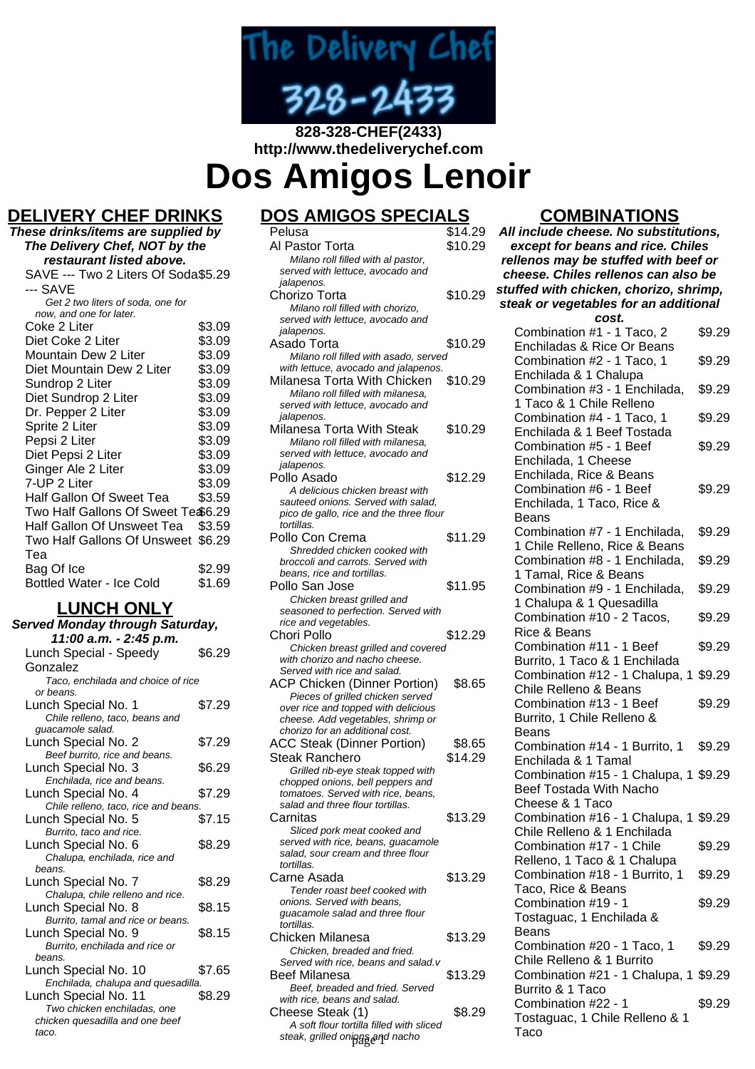

### **828-328-CHEF(2433) http://www.thedeliverychef.com**

**Dos Amigos Lenoir**

# **DELIVERY CHEF DRINKS**

| These drinks/items are supplied by  |        |
|-------------------------------------|--------|
| The Delivery Chef, NOT by the       |        |
| restaurant listed above.            |        |
| SAVE --- Two 2 Liters Of Soda\$5.29 |        |
| --- SAVE                            |        |
| Get 2 two liters of soda, one for   |        |
| now, and one for later.             |        |
| Coke 2 Liter                        | \$3.09 |
| Diet Coke 2 Liter                   | \$3.09 |
| Mountain Dew 2 Liter                | \$3.09 |
| Diet Mountain Dew 2 Liter           | \$3.09 |
| Sundrop 2 Liter                     | \$3.09 |
| Diet Sundrop 2 Liter                | \$3.09 |
| Dr. Pepper 2 Liter                  | \$3.09 |
| Sprite 2 Liter                      | \$3.09 |
| Pepsi 2 Liter                       | \$3.09 |
| Diet Pepsi 2 Liter                  | \$3.09 |
| Ginger Ale 2 Liter                  | \$3.09 |
| 7-UP 2 Liter                        | \$3.09 |
| Half Gallon Of Sweet Tea            | \$3.59 |
| Two Half Gallons Of Sweet Te \$6.29 |        |
| Half Gallon Of Unsweet Tea          | \$3.59 |
| Two Half Gallons Of Unsweet         | \$6.29 |
| Tea                                 |        |
| Bag Of Ice                          | \$2.99 |
| Bottled Water - Ice Cold            | \$1.69 |
|                                     |        |

#### **LUNCH ONLY**

| Served Monday through Saturday,          |        |
|------------------------------------------|--------|
| 11:00 a.m. - 2:45 p.m.                   |        |
| Lunch Special - Speedy                   | \$6.29 |
| Gonzalez                                 |        |
| Taco, enchilada and choice of rice       |        |
| or beans.                                |        |
| Lunch Special No. 1                      | \$7.29 |
| Chile relleno, taco, beans and           |        |
| guacamole salad.                         |        |
| Lunch Special No. 2                      | \$7.29 |
| Beef burrito, rice and beans.            |        |
| Lunch Special No. 3                      | \$6.29 |
| Enchilada, rice and beans.               |        |
| Lunch Special No. 4                      | \$7.29 |
| Chile relleno, taco, rice and beans.     |        |
| Lunch Special No. 5                      | \$7.15 |
| Burrito, taco and rice.                  |        |
| Lunch Special No. 6                      | \$8.29 |
| Chalupa, enchilada, rice and             |        |
| beans.                                   |        |
| Lunch Special No. 7                      | \$8.29 |
| Chalupa, chile relleno and rice.         |        |
| Lunch Special No. 8                      | \$8.15 |
| Burrito, tamal and rice or beans.        |        |
| Lunch Special No. 9                      | \$8.15 |
| Burrito, enchilada and rice or<br>beans. |        |
| Lunch Special No. 10                     | \$7.65 |
| Enchilada, chalupa and quesadilla.       |        |
| Lunch Special No. 11                     | \$8.29 |
| Two chicken enchiladas, one              |        |
| chicken quesadilla and one beef          |        |
| taco.                                    |        |
|                                          |        |

| <u> OS AMIGOS SPECIA</u>                                                |         |
|-------------------------------------------------------------------------|---------|
| Pelusa                                                                  | \$14.29 |
| Al Pastor Torta                                                         | \$10.29 |
| Milano roll filled with al pastor,                                      |         |
| served with lettuce, avocado and                                        |         |
| jalapenos.                                                              |         |
| Chorizo Torta                                                           | \$10.29 |
| Milano roll filled with chorizo,<br>served with lettuce, avocado and    |         |
| jalapenos.                                                              |         |
| Asado Torta                                                             | \$10.29 |
| Milano roll filled with asado, served                                   |         |
| with lettuce, avocado and jalapenos.                                    |         |
| Milanesa Torta With Chicken                                             | \$10.29 |
| Milano roll filled with milanesa.                                       |         |
| served with lettuce, avocado and                                        |         |
| jalapenos.<br>Milanesa Torta With Steak                                 | \$10.29 |
| Milano roll filled with milanesa.                                       |         |
| served with lettuce, avocado and                                        |         |
| jalapenos.                                                              |         |
| Pollo Asado                                                             | \$12.29 |
| A delicious chicken breast with                                         |         |
| sauteed onions. Served with salad,                                      |         |
| pico de gallo, rice and the three flour<br>tortillas.                   |         |
| Pollo Con Crema                                                         | \$11.29 |
| Shredded chicken cooked with                                            |         |
| broccoli and carrots. Served with                                       |         |
| beans, rice and tortillas.                                              |         |
| Pollo San Jose                                                          | \$11.95 |
| Chicken breast grilled and                                              |         |
| seasoned to perfection. Served with                                     |         |
| rice and vegetables.<br>Chori Pollo                                     | \$12.29 |
| Chicken breast grilled and covered                                      |         |
| with chorizo and nacho cheese.                                          |         |
| Served with rice and salad.                                             |         |
| <b>ACP Chicken (Dinner Portion)</b>                                     | \$8.65  |
| Pieces of grilled chicken served                                        |         |
| over rice and topped with delicious                                     |         |
| cheese. Add vegetables, shrimp or<br>chorizo for an additional cost.    |         |
| <b>ACC Steak (Dinner Portion)</b>                                       | \$8.65  |
| Steak Ranchero                                                          | \$14.29 |
| Grilled rib-eye steak topped with                                       |         |
| chopped onions, bell peppers and                                        |         |
| tomatoes. Served with rice, beans,                                      |         |
| salad and three flour tortillas.                                        |         |
| Carnitas                                                                | \$13.29 |
| Sliced pork meat cooked and                                             |         |
| served with rice, beans, guacamole<br>salad, sour cream and three flour |         |
| tortillas.                                                              |         |
| Carne Asada                                                             | \$13.29 |
| Tender roast beef cooked with                                           |         |
| onions. Served with beans,                                              |         |
| guacamole salad and three flour<br>tortillas.                           |         |
| Chicken Milanesa                                                        | \$13.29 |
| Chicken, breaded and fried.                                             |         |
| Served with rice, beans and salad.v                                     |         |
| <b>Beef Milanesa</b>                                                    | \$13.29 |
| Beef, breaded and fried. Served                                         |         |
| with rice, beans and salad.                                             |         |
| Cheese Steak (1)                                                        | \$8.29  |

A soft flour tortilla filled with sliced steak, grilled onions and nacho

### **COMBINATIONS**

**All include cheese. No substitutions, except for beans and rice. Chiles rellenos may be stuffed with beef or cheese. Chiles rellenos can also be stuffed with chicken, chorizo, shrimp, steak or vegetables for an additional cost.** Combination #1 - 1 Taco, 2 Enchiladas & Rice Or Beans \$9.29 Combination #2 - 1 Taco, 1 Enchilada & 1 Chalupa \$9.29 Combination #3 - 1 Enchilada, 1 Taco & 1 Chile Relleno \$9.29 Combination #4 - 1 Taco, 1 Enchilada & 1 Beef Tostada \$9.29 Combination #5 - 1 Beef Enchilada, 1 Cheese Enchilada, Rice & Beans \$9.29 Combination #6 - 1 Beef Enchilada, 1 Taco, Rice & Beans \$9.29 Combination #7 - 1 Enchilada, 1 Chile Relleno, Rice & Beans \$9.29 Combination #8 - 1 Enchilada, 1 Tamal, Rice & Beans \$9.29 Combination #9 - 1 Enchilada, 1 Chalupa & 1 Quesadilla \$9.29 Combination #10 - 2 Tacos, Rice & Beans \$9.29 Combination #11 - 1 Beef Burrito, 1 Taco & 1 Enchilada \$9.29 Combination #12 - 1 Chalupa, 1 \$9.29 Chile Relleno & Beans Combination #13 - 1 Beef Burrito, 1 Chile Relleno & Beans \$9.29 Combination #14 - 1 Burrito, 1 Enchilada & 1 Tamal \$9.29 Combination #15 - 1 Chalupa, 1 \$9.29 Beef Tostada With Nacho Cheese & 1 Taco Combination #16 - 1 Chalupa, 1 \$9.29 Chile Relleno & 1 Enchilada Combination #17 - 1 Chile Relleno, 1 Taco & 1 Chalupa \$9.29 Combination #18 - 1 Burrito, 1 Taco, Rice & Beans \$9.29 Combination #19 - 1 Tostaguac, 1 Enchilada & Beans \$9.29 Combination #20 - 1 Taco, 1 Chile Relleno & 1 Burrito \$9.29 Combination #21 - 1 Chalupa, 1 \$9.29 Burrito & 1 Taco Combination #22 - 1 Tostaguac, 1 Chile Relleno & 1 Taco \$9.29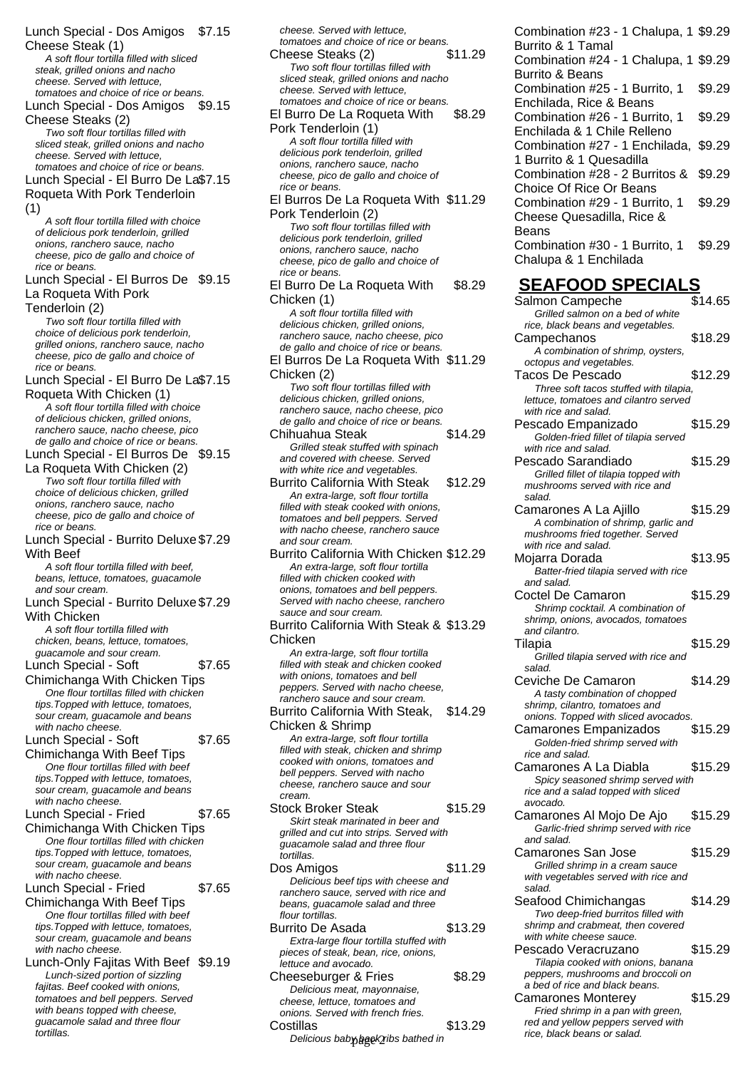Lunch Special - Dos Amigos \$7.15 Cheese Steak (1) A soft flour tortilla filled with sliced steak, grilled onions and nacho cheese. Served with lettuce, tomatoes and choice of rice or beans. Lunch Special - Dos Amigos \$9.15 Cheese Steaks (2) Two soft flour tortillas filled with sliced steak, grilled onions and nacho cheese. Served with lettuce, tomatoes and choice of rice or beans. Lunch Special - El Burro De La \$7.15 Roqueta With Pork Tenderloin (1) A soft flour tortilla filled with choice of delicious pork tenderloin, grilled onions, ranchero sauce, nacho cheese, pico de gallo and choice of rice or beans. Lunch Special - El Burros De \$9.15 La Roqueta With Pork Tenderloin (2) Two soft flour tortilla filled with choice of delicious pork tenderloin, grilled onions, ranchero sauce, nacho cheese, pico de gallo and choice of rice or beans. Lunch Special - El Burro De La \$7.15 Roqueta With Chicken (1) A soft flour tortilla filled with choice of delicious chicken, grilled onions, ranchero sauce, nacho cheese, pico de gallo and choice of rice or beans. Lunch Special - El Burros De \$9.15 La Roqueta With Chicken (2) Two soft flour tortilla filled with choice of delicious chicken, grilled onions, ranchero sauce, nacho cheese, pico de gallo and choice of rice or beans. Lunch Special - Burrito Deluxe \$7.29 With Beef A soft flour tortilla filled with beef, beans, lettuce, tomatoes, guacamole and sour cream. Lunch Special - Burrito Deluxe \$7.29 With Chicken A soft flour tortilla filled with chicken, beans, lettuce, tomatoes, guacamole and sour cream. Lunch Special - Soft Chimichanga With Chicken Tips \$7.65 One flour tortillas filled with chicken tips.Topped with lettuce, tomatoes, sour cream, guacamole and beans with nacho cheese. Lunch Special - Soft Chimichanga With Beef Tips \$7.65 One flour tortillas filled with beef tips.Topped with lettuce, tomatoes, sour cream, guacamole and beans with nacho cheese. Lunch Special - Fried Chimichanga With Chicken Tips \$7.65 One flour tortillas filled with chicken tips.Topped with lettuce, tomatoes, sour cream, guacamole and beans with nacho cheese. Lunch Special - Fried Chimichanga With Beef Tips \$7.65 One flour tortillas filled with beef tips.Topped with lettuce, tomatoes, sour cream, guacamole and beans with nacho cheese. Lunch-Only Fajitas With Beef \$9.19 Lunch-sized portion of sizzling fajitas. Beef cooked with onions, tomatoes and bell peppers. Served with beans topped with cheese, guacamole salad and three flour

tortillas.

cheese. Served with lettuce, tomatoes and choice of rice or beans. Cheese Steaks (2) \$11.29 Two soft flour tortillas filled with sliced steak, grilled onions and nacho cheese. Served with lettuce, tomatoes and choice of rice or beans. El Burro De La Roqueta With Pork Tenderloin (1) \$8.29 A soft flour tortilla filled with delicious pork tenderloin, grilled onions, ranchero sauce, nacho cheese, pico de gallo and choice of rice or beans. El Burros De La Roqueta With \$11.29 Pork Tenderloin (2) Two soft flour tortillas filled with delicious pork tenderloin, grilled onions, ranchero sauce, nacho cheese, pico de gallo and choice of rice or beans. El Burro De La Roqueta With Chicken (1) \$8.29 A soft flour tortilla filled with delicious chicken, grilled onions, ranchero sauce, nacho cheese, pico de gallo and choice of rice or beans. El Burros De La Roqueta With \$11.29 Chicken (2) Two soft flour tortillas filled with delicious chicken, grilled onions, ranchero sauce, nacho cheese, pico de gallo and choice of rice or beans. Chihuahua Steak \$14.29 Grilled steak stuffed with spinach and covered with cheese. Served with white rice and vegetables. Burrito California With Steak \$12.29 An extra-large, soft flour tortilla filled with steak cooked with onions. tomatoes and bell peppers. Served with nacho cheese, ranchero sauce and sour cream. Burrito California With Chicken \$12.29 An extra-large, soft flour tortilla filled with chicken cooked with onions, tomatoes and bell peppers. Served with nacho cheese, ranchero sauce and sour cream. Burrito California With Steak & \$13.29 Chicken An extra-large, soft flour tortilla filled with steak and chicken cooked with onions, tomatoes and bell peppers. Served with nacho cheese, ranchero sauce and sour cream. Burrito California With Steak, Chicken & Shrimp \$14.29 An extra-large, soft flour tortilla filled with steak, chicken and shrimp cooked with onions, tomatoes and bell peppers. Served with nacho cheese, ranchero sauce and sour cream. Stock Broker Steak \$15.29 Skirt steak marinated in beer and grilled and cut into strips. Served with guacamole salad and three flour tortillas. Dos Amigos  $$11.29$ Delicious beef tips with cheese and ranchero sauce, served with rice and beans, guacamole salad and three flour tortillas. Burrito De Asada \$13.29 Extra-large flour tortilla stuffed with pieces of steak, bean, rice, onions, lettuce and avocado. Cheeseburger & Fries \$8.29 Delicious meat, mayonnaise, cheese, lettuce, tomatoes and onions. Served with french fries. Costillas \$13.29 where **the community of the community of the community of the community of community** rice, black beans or salad.

Combination #23 - 1 Chalupa, 1 \$9.29 Burrito & 1 Tamal Combination #24 - 1 Chalupa, 1 \$9.29 Burrito & Beans Combination #25 - 1 Burrito, 1 Enchilada, Rice & Beans \$9.29 Combination #26 - 1 Burrito, 1 Enchilada & 1 Chile Relleno \$9.29 Combination #27 - 1 Enchilada, \$9.29 1 Burrito & 1 Quesadilla Combination #28 - 2 Burritos & Choice Of Rice Or Beans \$9.29 Combination #29 - 1 Burrito, 1 Cheese Quesadilla, Rice & Beans \$9.29 Combination #30 - 1 Burrito, 1 Chalupa & 1 Enchilada \$9.29 **SEAFOOD SPECIALS** Salmon Campeche \$14.65 Grilled salmon on a bed of white rice, black beans and vegetables. Campechanos \$18.29 A combination of shrimp, oysters, octopus and vegetables. Tacos De Pescado \$12.29 Three soft tacos stuffed with tilapia,

lettuce, tomatoes and cilantro served

Pescado Empanizado  $$15.29$ Golden-fried fillet of tilapia served

Pescado Sarandiado  $$15.29$ Grilled fillet of tilapia topped with mushrooms served with rice and

Camarones A La Aiillo \$15.29 A combination of shrimp, garlic and mushrooms fried together. Served

Mojarra Dorada \$13.95 Batter-fried tilapia served with rice

Coctel De Camaron \$15.29 Shrimp cocktail. A combination of shrimp, onions, avocados, tomatoes

Tilapia \$15.29 Grilled tilapia served with rice and

Ceviche De Camaron \$14.29 A tasty combination of chopped shrimp, cilantro, tomatoes and onions. Topped with sliced avocados. Camarones Empanizados \$15.29 Golden-fried shrimp served with

Camarones A La Diabla \$15.29 Spicy seasoned shrimp served with rice and a salad topped with sliced

Camarones Al Mojo De Ajo \$15.29 Garlic-fried shrimp served with rice

Camarones San Jose \$15.29 Grilled shrimp in a cream sauce with vegetables served with rice and

Seafood Chimichangas \$14.29 Two deep-fried burritos filled with shrimp and crabmeat, then covered

Pescado Veracruzano \$15.29 Tilapia cooked with onions, banana peppers, mushrooms and broccoli on a bed of rice and black beans.

Camarones Monterey \$15.29 Fried shrimp in a pan with green, red and yellow peppers served with<br>rice, black beans or salad.

with white cheese sauce.

with rice and salad.

with rice and salad.

with rice and salad.

and salad.

and cilantro.

rice and salad.

avocado.

and salad.

salad.

salad.

salad.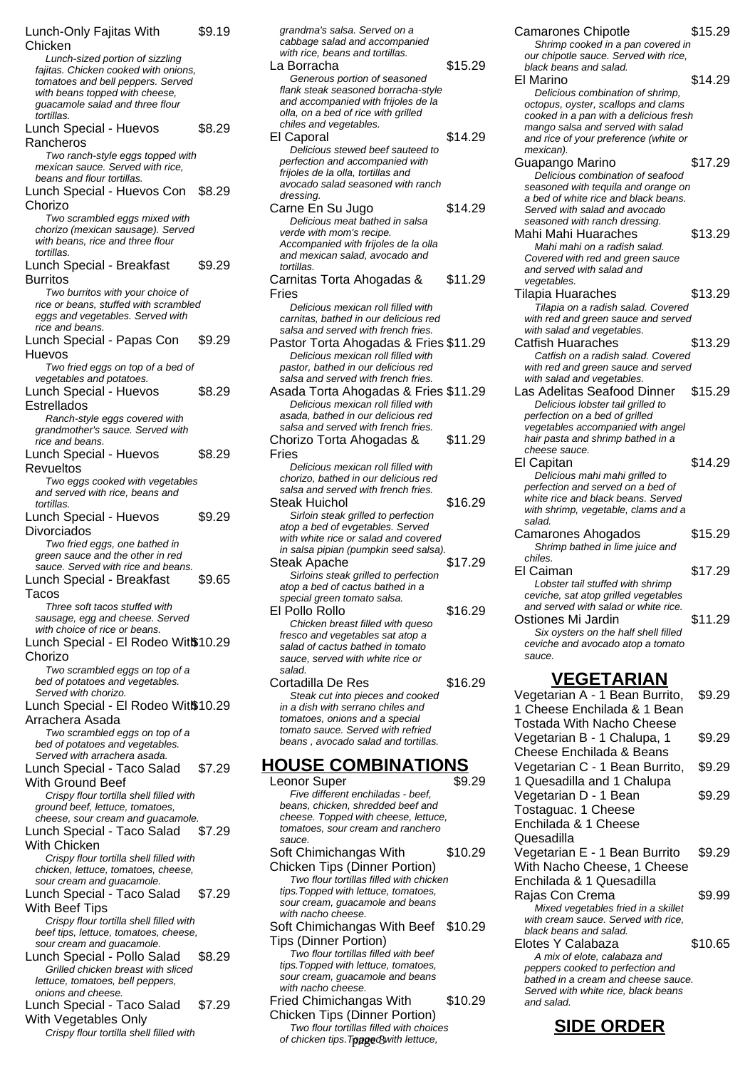Lunch-Only Fajitas With **Chicken** \$9.19 Lunch-sized portion of sizzling fajitas. Chicken cooked with onions, tomatoes and bell peppers. Served with beans topped with cheese. guacamole salad and three flour tortillas. Lunch Special - Huevos Rancheros \$8.29 Two ranch-style eggs topped with mexican sauce. Served with rice, beans and flour tortillas. Lunch Special - Huevos Con \$8.29 Chorizo Two scrambled eggs mixed with chorizo (mexican sausage). Served with beans, rice and three flour tortillas. Lunch Special - Breakfast Burritos \$9.29 Two burritos with your choice of rice or beans, stuffed with scrambled eggs and vegetables. Served with rice and beans. Lunch Special - Papas Con Huevos \$9.29 Two fried eggs on top of a bed of vegetables and potatoes. Lunch Special - Huevos Estrellados \$8.29 Ranch-style eggs covered with grandmother's sauce. Served with rice and beans. Lunch Special - Huevos Revueltos \$8.29 Two eggs cooked with vegetables and served with rice, beans and tortillas. Lunch Special - Huevos Divorciados \$9.29 Two fried eggs, one bathed in green sauce and the other in red sauce. Served with rice and beans. Lunch Special - Breakfast Tacos \$9.65 Three soft tacos stuffed with sausage, egg and cheese. Served with choice of rice or beans. Lunch Special - El Rodeo Witß 10.29 Chorizo Two scrambled eggs on top of a bed of potatoes and vegetables. Served with chorizo. Lunch Special - El Rodeo Witß 10.29 Arrachera Asada Two scrambled eggs on top of a bed of potatoes and vegetables. Served with arrachera asada. Lunch Special - Taco Salad With Ground Beef \$7.29 Crispy flour tortilla shell filled with ground beef, lettuce, tomatoes, cheese, sour cream and guacamole. Lunch Special - Taco Salad With Chicken \$7.29 Crispy flour tortilla shell filled with chicken, lettuce, tomatoes, cheese, sour cream and guacamole. Lunch Special - Taco Salad With Beef Tips \$7.29 Crispy flour tortilla shell filled with beef tips, lettuce, tomatoes, cheese, sour cream and guacamole. Lunch Special - Pollo Salad \$8.29 Grilled chicken breast with sliced lettuce, tomatoes, bell peppers, onions and cheese. Lunch Special - Taco Salad With Vegetables Only \$7.29 Crispy flour tortilla shell filled with

grandma's salsa. Served on a cabbage salad and accompanied with rice, beans and tortillas. La Borracha  $$15.29$ Generous portion of seasoned flank steak seasoned borracha-style and accompanied with frijoles de la olla, on a bed of rice with grilled chiles and vegetables. El Caporal \$14.29 Delicious stewed beef sauteed to perfection and accompanied with frijoles de la olla, tortillas and avocado salad seasoned with ranch dressing. Carne En Su Jugo \$14.29 Delicious meat bathed in salsa verde with mom's recipe. Accompanied with frijoles de la olla and mexican salad, avocado and tortillas. Carnitas Torta Ahogadas & Fries \$11.29 Delicious mexican roll filled with carnitas, bathed in our delicious red salsa and served with french fries. Pastor Torta Ahogadas & Fries \$11.29 Delicious mexican roll filled with pastor, bathed in our delicious red salsa and served with french fries. Asada Torta Ahogadas & Fries \$11.29 Delicious mexican roll filled with asada, bathed in our delicious red salsa and served with french fries. Chorizo Torta Ahogadas & Fries \$11.29 Delicious mexican roll filled with chorizo, bathed in our delicious red salsa and served with french fries. Steak Huichol **\$16.29** Sirloin steak grilled to perfection atop a bed of evgetables. Served with white rice or salad and covered in salsa pipian (pumpkin seed salsa). Steak Apache \$17.29 Sirloins steak grilled to perfection atop a bed of cactus bathed in a special green tomato salsa. El Pollo Rollo \$16.29 Chicken breast filled with queso fresco and vegetables sat atop a salad of cactus bathed in tomato sauce, served with white rice or salad Cortadilla De Res \$16.29 Steak cut into pieces and cooked in a dish with serrano chiles and tomatoes, onions and a special tomato sauce. Served with refried beans , avocado salad and tortillas. **HOUSE COMBINATIONS**

Leonor Super \$9.29 Five different enchiladas - beef, beans, chicken, shredded beef and cheese. Topped with cheese, lettuce, tomatoes, sour cream and ranchero sauce Soft Chimichangas With Chicken Tips (Dinner Portion) \$10.29 Two flour tortillas filled with chicken tips.Topped with lettuce, tomatoes, sour cream, guacamole and beans with nacho cheese. Soft Chimichangas With Beef \$10.29 Tips (Dinner Portion) Two flour tortillas filled with beef tips.Topped with lettuce, tomatoes, sour cream, guacamole and beans with nacho cheese. Fried Chimichangas With Chicken Tips (Dinner Portion) \$10.29 Two flour tortillas filled with choices

of chicken tips. Toppe&with lettuce,

Shrimp cooked in a pan covered in our chipotle sauce. Served with rice, black beans and salad. El Marino  $$14.29$ Delicious combination of shrimp, octopus, oyster, scallops and clams cooked in a pan with a delicious fresh mango salsa and served with salad and rice of your preference (white or mexican). Guapango Marino \$17.29 Delicious combination of seafood seasoned with tequila and orange on a bed of white rice and black beans. Served with salad and avocado seasoned with ranch dressing. Mahi Mahi Huaraches \$13.29 Mahi mahi on a radish salad. Covered with red and green sauce and served with salad and vegetables. Tilapia Huaraches \$13.29 .<br>Tilapia on a radish salad. Covered with red and green sauce and served with salad and vegetables. Catfish Huaraches \$13.29 Catfish on a radish salad. Covered with red and green sauce and served with salad and vegetables. Las Adelitas Seafood Dinner \$15.29 Delicious lobster tail grilled to perfection on a bed of grilled vegetables accompanied with angel hair pasta and shrimp bathed in a cheese sauce. El Capitan \$14.29 Delicious mahi mahi grilled to perfection and served on a bed of .<br>white rice and black beans. Served with shrimp, vegetable, clams and a salad. Camarones Ahogados \$15.29 Shrimp bathed in lime juice and chiles. El Caiman \$17.29 Lobster tail stuffed with shrimp ceviche, sat atop grilled vegetables and served with salad or white rice. Ostiones Mi Jardin \$11.29 Six oysters on the half shell filled ceviche and avocado atop a tomato sauce.

Camarones Chipotle  $$15.29$ 

#### **VEGETARIAN**

Vegetarian A - 1 Bean Burrito, 1 Cheese Enchilada & 1 Bean Tostada With Nacho Cheese \$9.29 Vegetarian B - 1 Chalupa, 1 Cheese Enchilada & Beans \$9.29 Vegetarian C - 1 Bean Burrito, 1 Quesadilla and 1 Chalupa \$9.29 Vegetarian D - 1 Bean Tostaguac. 1 Cheese Enchilada & 1 Cheese Quesadilla \$9.29 Vegetarian E - 1 Bean Burrito With Nacho Cheese, 1 Cheese Enchilada & 1 Quesadilla \$9.29 Rajas Con Crema  $$9.99$ Mixed vegetables fried in a skillet with cream sauce. Served with rice, black beans and salad. Elotes Y Calabaza \$10.65 A mix of elote, calabaza and peppers cooked to perfection and bathed in a cream and cheese sauce. Served with white rice, black beans and salad.

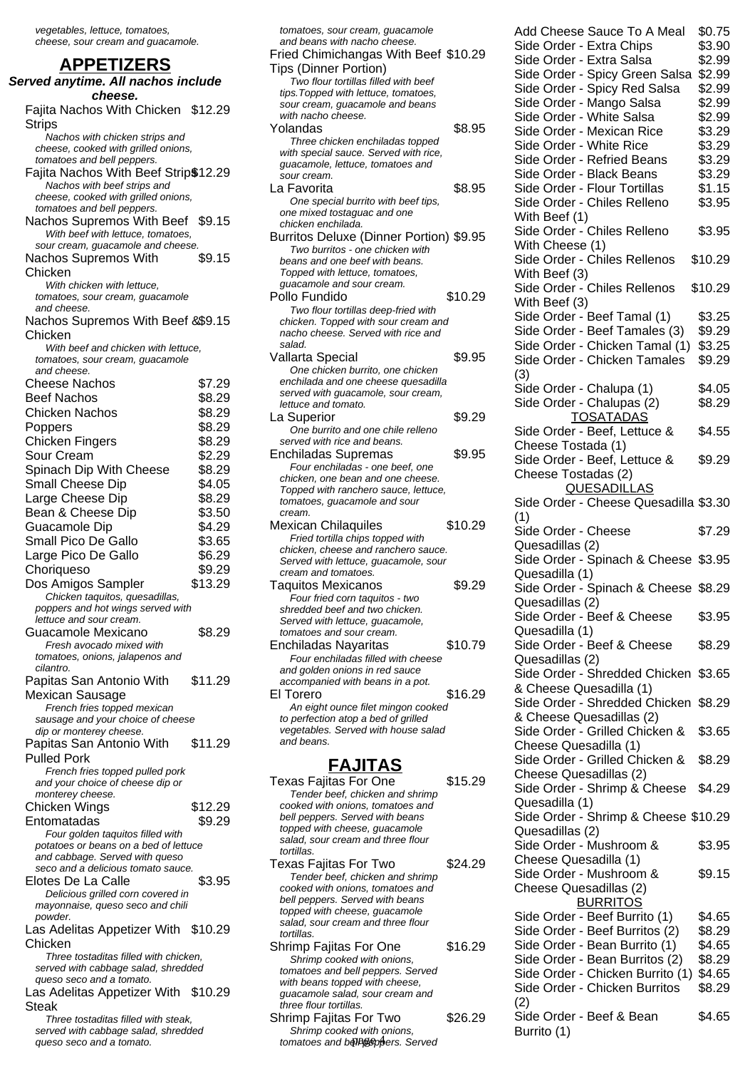vegetables, lettuce, tomatoes, cheese, sour cream and guacamole.

#### **APPETIZERS**

**Served anytime. All nachos include cheese.** Fajita Nachos With Chicken \$12.29 **Strips** Nachos with chicken strips and cheese, cooked with grilled onions, tomatoes and bell peppers. Fajita Nachos With Beef Strip\$12.29 Nachos with beef strips and cheese, cooked with grilled onions, tomatoes and bell peppers. Nachos Supremos With Beef \$9.15 With beef with lettuce, tomatoes, sour cream, guacamole and cheese. Nachos Supremos With Chicken \$9.15 With chicken with lettuce, tomatoes, sour cream, guacamole and cheese. Nachos Supremos With Beef & \$9.15 Chicken With beef and chicken with lettuce, tomatoes, sour cream, guacamole and cheese. Cheese Nachos \$7.29 Beef Nachos \$8.29 Chicken Nachos \$8.29 Poppers \$8.29 Chicken Fingers \$8.29 Sour Cream \$2.29 Spinach Dip With Cheese \$8.29 Small Cheese Dip \$4.05 Large Cheese Dip \$8.29 Bean & Cheese Dip \$3.50 Guacamole Dip \$4.29 Small Pico De Gallo \$3.65 Large Pico De Gallo \$6.29 Choriqueso \$9.29 Dos Amigos Sampler \$13.29 Chicken taquitos, quesadillas, poppers and hot wings served with lettuce and sour cream. Guacamole Mexicano \$8.29 Fresh avocado mixed with tomatoes, onions, jalapenos and cilantro. Papitas San Antonio With Mexican Sausage \$11.29 French fries topped mexican sausage and your choice of cheese dip or monterey cheese. Papitas San Antonio With Pulled Pork \$11.29 French fries topped pulled pork and your choice of cheese dip or monterey cheese. Chicken Wings \$12.29 Entomatadas \$9.29 Four golden taquitos filled with potatoes or beans on a bed of lettuce and cabbage. Served with queso seco and a delicious tomato sauce. Elotes De La Calle \$3.95 Delicious grilled corn covered in mayonnaise, queso seco and chili powder. Las Adelitas Appetizer With \$10.29 Chicken Three tostaditas filled with chicken, served with cabbage salad, shredded queso seco and a tomato. Las Adelitas Appetizer With \$10.29 Steak Three tostaditas filled with steak,

served with cabbage salad, shredded queso seco and a tomato.

| tomatoes, sour cream, guacamole<br>and beans with nacho cheese.      |         |
|----------------------------------------------------------------------|---------|
| Fried Chimichangas With Beef \$10.29                                 |         |
| <b>Tips (Dinner Portion)</b>                                         |         |
| Two flour tortillas filled with beef                                 |         |
| tips. Topped with lettuce, tomatoes,                                 |         |
| sour cream, guacamole and beans<br>with nacho cheese.                |         |
| Yolandas                                                             | \$8.95  |
| Three chicken enchiladas topped                                      |         |
| with special sauce. Served with rice,                                |         |
| guacamole, lettuce, tomatoes and                                     |         |
| sour cream.                                                          |         |
| La Favorita                                                          | \$8.95  |
| One special burrito with beef tips,                                  |         |
| one mixed tostaguac and one                                          |         |
| chicken enchilada.                                                   |         |
| Burritos Deluxe (Dinner Portion) \$9.95                              |         |
| Two burritos - one chicken with                                      |         |
| beans and one beef with beans.                                       |         |
| Topped with lettuce, tomatoes,<br>guacamole and sour cream.          |         |
| Pollo Fundido                                                        | \$10.29 |
| Two flour tortillas deep-fried with                                  |         |
| chicken. Topped with sour cream and                                  |         |
| nacho cheese. Served with rice and                                   |         |
| salad.                                                               |         |
| Vallarta Special                                                     | \$9.95  |
| One chicken burrito, one chicken                                     |         |
| enchilada and one cheese quesadilla                                  |         |
| served with guacamole, sour cream,                                   |         |
| lettuce and tomato.                                                  |         |
| La Superior                                                          | \$9.29  |
| One burrito and one chile relleno                                    |         |
| served with rice and beans.                                          |         |
| Enchiladas Supremas                                                  | \$9.95  |
| Four enchiladas - one beef, one<br>chicken, one bean and one cheese. |         |
| Topped with ranchero sauce, lettuce,                                 |         |
| tomatoes, guacamole and sour                                         |         |
| cream.                                                               |         |
| Mexican Chilaquiles                                                  | \$10.29 |
| Fried tortilla chips topped with                                     |         |
| chicken, cheese and ranchero sauce.                                  |         |
| Served with lettuce, guacamole, sour                                 |         |
| cream and tomatoes.                                                  |         |
| <b>Taquitos Mexicanos</b>                                            | \$9.29  |
| Four fried corn taquitos - two                                       |         |
| shredded beef and two chicken.                                       |         |
| Served with lettuce, guacamole,<br>tomatoes and sour cream.          |         |
| Enchiladas Nayaritas                                                 | \$10.79 |
| Four enchiladas filled with cheese                                   |         |
| and golden onions in red sauce                                       |         |
| accompanied with beans in a pot.                                     |         |
| El Torero                                                            | \$16.29 |
| An eight ounce filet mingon cooked                                   |         |
| to perfection atop a bed of grilled                                  |         |
| vegetables. Served with house salad                                  |         |
| and beans.                                                           |         |
|                                                                      |         |
| <u>FAJITAS</u>                                                       |         |
| <b>Texas Failtas For One</b>                                         | \$15.29 |

| AJI I AJ                          |         |
|-----------------------------------|---------|
| Texas Fajitas For One             | \$15.29 |
| Tender beef, chicken and shrimp   |         |
| cooked with onions, tomatoes and  |         |
| bell peppers. Served with beans   |         |
| topped with cheese, guacamole     |         |
| salad, sour cream and three flour |         |
| tortillas.                        |         |
| Texas Fajitas For Two             | \$24.29 |
| Tender beef, chicken and shrimp   |         |
| cooked with onions, tomatoes and  |         |
| bell peppers. Served with beans   |         |
| topped with cheese, guacamole     |         |
| salad, sour cream and three flour |         |
| tortillas.                        |         |
| Shrimp Fajitas For One            | \$16.29 |
| Shrimp cooked with onions,        |         |
| tomatoes and bell peppers. Served |         |
| with beans topped with cheese,    |         |
| quacamole salad, sour cream and   |         |
| three flour tortillas.            |         |
| Shrimp Fajitas For Two            | 26.29   |

Shrimp cooked with onions, tomatoes and belle speechers. Served Add Cheese Sauce To A Meal \$0.75 Side Order - Extra Chips \$3.90 Side Order - Extra Salsa \$2.99 Side Order - Spicy Green Salsa \$2.99 Side Order - Spicy Red Salsa \$2.99 Side Order - Mango Salsa \$2.99 Side Order - White Salsa \$2.99 Side Order - Mexican Rice \$3.29 Side Order - White Rice \$3.29 Side Order - Refried Beans \$3.29 Side Order - Black Beans \$3.29 Side Order - Flour Tortillas \$1.15 Side Order - Chiles Relleno With Beef (1) \$3.95 Side Order - Chiles Relleno With Cheese (1) \$3.95 Side Order - Chiles Rellenos With Beef (3) \$10.29 Side Order - Chiles Rellenos With Beef (3) \$10.29 Side Order - Beef Tamal (1) \$3.25 Side Order - Beef Tamales (3) \$9.29 Side Order - Chicken Tamal (1) \$3.25 Side Order - Chicken Tamales (3) \$9.29 Side Order - Chalupa (1) \$4.05 Side Order - Chalupas (2) \$8.29 TOSATADAS Side Order - Beef, Lettuce & Cheese Tostada (1) \$4.55 Side Order - Beef, Lettuce & Cheese Tostadas (2) \$9.29 QUESADILLAS Side Order - Cheese Quesadilla \$3.30 (1) Side Order - Cheese Quesadillas (2) \$7.29 Side Order - Spinach & Cheese \$3.95 Quesadilla (1) Side Order - Spinach & Cheese \$8.29 Quesadillas (2) Side Order - Beef & Cheese Quesadilla (1) \$3.95 Side Order - Beef & Cheese Quesadillas (2) \$8.29 Side Order - Shredded Chicken \$3.65 & Cheese Quesadilla (1) Side Order - Shredded Chicken \$8.29 & Cheese Quesadillas (2) Side Order - Grilled Chicken & Cheese Quesadilla (1) \$3.65 Side Order - Grilled Chicken & Cheese Quesadillas (2) \$8.29 Side Order - Shrimp & Cheese Quesadilla (1) \$4.29 Side Order - Shrimp & Cheese \$10.29 Quesadillas (2) Side Order - Mushroom & Cheese Quesadilla (1) \$3.95 Side Order - Mushroom & Cheese Quesadillas (2) \$9.15 **BURRITOS** Side Order - Beef Burrito (1) \$4.65 Side Order - Beef Burritos (2) \$8.29 Side Order - Bean Burrito (1) \$4.65 Side Order - Bean Burritos (2) \$8.29 Side Order - Chicken Burrito (1) \$4.65 Side Order - Chicken Burritos (2) \$8.29 Side Order - Beef & Bean Burrito (1) \$4.65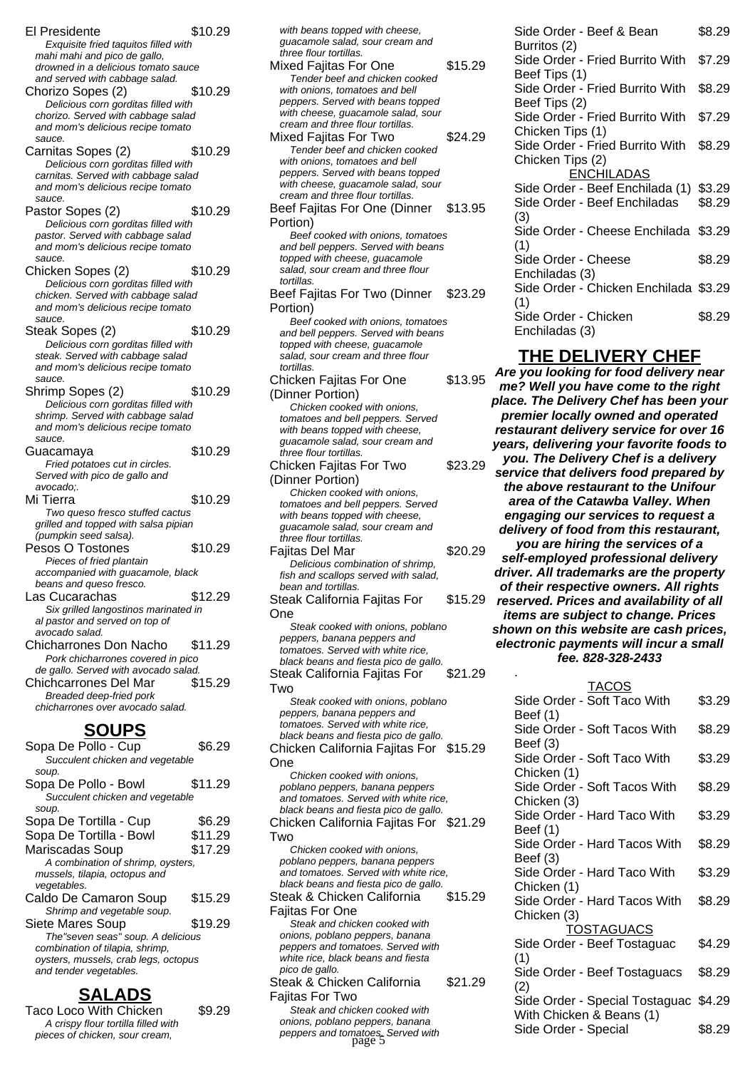El Presidente \$10.29 Exquisite fried taquitos filled with mahi mahi and pico de gallo, drowned in a delicious tomato sauce and served with cabbage salad. Chorizo Sopes (2) \$10.29 Delicious corn gorditas filled with chorizo. Served with cabbage salad and mom's delicious recipe tomato sauce. Carnitas Sopes (2) \$10.29 Delicious corn gorditas filled with carnitas. Served with cabbage salad and mom's delicious recipe tomato sauce Pastor Sopes (2) \$10.29 Delicious corn gorditas filled with pastor. Served with cabbage salad and mom's delicious recipe tomato sauce. Chicken Sopes (2) \$10.29 Delicious corn gorditas filled with chicken. Served with cabbage salad and mom's delicious recipe tomato sauce. Steak Sopes (2) \$10.29 Delicious corn gorditas filled with steak. Served with cabbage salad and mom's delicious recipe tomato sauce. Shrimp Sopes (2) \$10.29 Delicious corn gorditas filled with shrimp. Served with cabbage salad and mom's delicious recipe tomato sauce. Guacamaya \$10.29 Fried potatoes cut in circles. Served with pico de gallo and avocado;. Mi Tierra  $$10.29$ Two queso fresco stuffed cactus grilled and topped with salsa pipian (pumpkin seed salsa). Pesos O Tostones \$10.29 Pieces of fried plantain accompanied with guacamole, black beans and queso fresco. Las Cucarachas \$12.29 Six grilled langostinos marinated in al pastor and served on top of avocado salad. Chicharrones Don Nacho \$11.29 Pork chicharrones covered in pico de gallo. Served with avocado salad. Chichcarrones Del Mar \$15.29 Breaded deep-fried pork chicharrones over avocado salad. **SOUPS** Sopa De Pollo - Cup \$6.29 Succulent chicken and vegetable soup. Sopa De Pollo - Bowl \$11.29

| Succulent chicken and vegetable      |         |
|--------------------------------------|---------|
| soup.                                |         |
| Sopa De Tortilla - Cup               | \$6.29  |
| Sopa De Tortilla - Bowl              | \$11.29 |
| Mariscadas Soup                      | \$17.29 |
| A combination of shrimp, oysters,    |         |
| mussels, tilapia, octopus and        |         |
| vegetables.                          |         |
| Caldo De Camaron Soup                | \$15.29 |
| Shrimp and vegetable soup.           |         |
| Siete Mares Soup                     | \$19.29 |
| The"seven seas" soup. A delicious    |         |
| combination of tilapia, shrimp,      |         |
| oysters, mussels, crab legs, octopus |         |
| and tender vegetables.               |         |
|                                      |         |

#### **SALADS**

Taco Loco With Chicken \$9.29 A crispy flour tortilla filled with pieces of chicken, sour cream,

with beans topped with cheese, guacamole salad, sour cream and three flour tortillas. Mixed Fajitas For One \$15.29 Tender beef and chicken cooked with onions, tomatoes and bell peppers. Served with beans topped with cheese, guacamole salad, sour cream and three flour tortillas. Mixed Fajitas For Two \$24.29 Tender beef and chicken cooked with onions, tomatoes and bell peppers. Served with beans topped with cheese, guacamole salad, sour cream and three flour tortillas. Beef Fajitas For One (Dinner Portion) \$13.95 Beef cooked with onions, tomatoes and bell peppers. Served with beans topped with cheese, guacamole salad, sour cream and three flour tortillas. Beef Fajitas For Two (Dinner Portion) \$23.29 Beef cooked with onions, tomatoes and bell peppers. Served with beans topped with cheese, guacamole salad, sour cream and three flour tortillas. Chicken Fajitas For One (Dinner Portion) \$13.95 Chicken cooked with onions, tomatoes and bell peppers. Served with beans topped with cheese, guacamole salad, sour cream and three flour tortillas. Chicken Fajitas For Two (Dinner Portion) \$23.29 Chicken cooked with onions, tomatoes and bell peppers. Served with beans topped with cheese, guacamole salad, sour cream and three flour tortillas. Fajitas Del Mar  $$20.29$ Delicious combination of shrimp, fish and scallops served with salad, bean and tortillas. Steak California Fajitas For One \$15.29 Steak cooked with onions, poblano peppers, banana peppers and tomatoes. Served with white rice, black beans and fiesta pico de gallo. Steak California Fajitas For Two \$21.29 Steak cooked with onions, poblano peppers, banana peppers and tomatoes. Served with white rice, black beans and fiesta pico de gallo. Chicken California Fajitas For \$15.29 One Chicken cooked with onions, poblano peppers, banana peppers and tomatoes. Served with white rice, black beans and fiesta pico de gallo. Chicken California Fajitas For \$21.29 Two Chicken cooked with onions, poblano peppers, banana peppers and tomatoes. Served with white rice, black beans and fiesta pico de gallo. Steak & Chicken California Fajitas For One \$15.29 Steak and chicken cooked with onions, poblano peppers, banana peppers and tomatoes. Served with white rice, black beans and fiesta pico de gallo. Steak & Chicken California Fajitas For Two \$21.29 Steak and chicken cooked with onions, poblano peppers, banana

peppers and tomatoes. Served with page 5

Side Order - Beef & Bean Burritos (2) \$8.29 Side Order - Fried Burrito With Beef Tips (1) \$7.29 Side Order - Fried Burrito With Beef Tips (2) \$8.29 Side Order - Fried Burrito With Chicken Tips (1) \$7.29 Side Order - Fried Burrito With Chicken Tips (2) \$8.29 ENCHILADAS Side Order - Beef Enchilada (1) \$3.29 Side Order - Beef Enchiladas (3) \$8.29 Side Order - Cheese Enchilada \$3.29 (1) Side Order - Cheese Enchiladas (3) \$8.29 Side Order - Chicken Enchilada \$3.29 (1) Side Order - Chicken Enchiladas (3) \$8.29

#### **THE DELIVERY CHEF**

**Are you looking for food delivery near me? Well you have come to the right place. The Delivery Chef has been your premier locally owned and operated restaurant delivery service for over 16 years, delivering your favorite foods to you. The Delivery Chef is a delivery service that delivers food prepared by the above restaurant to the Unifour area of the Catawba Valley. When engaging our services to request a delivery of food from this restaurant, you are hiring the services of a self-employed professional delivery driver. All trademarks are the property of their respective owners. All rights reserved. Prices and availability of all items are subject to change. Prices shown on this website are cash prices, electronic payments will incur a small fee. 828-328-2433** .

| <b>TACOS</b>                   |        |
|--------------------------------|--------|
| Side Order - Soft Taco With    | \$3.29 |
| Beef (1)                       |        |
| Side Order - Soft Tacos With   | \$8.29 |
| Beef (3)                       |        |
| Side Order - Soft Taco With    | \$3.29 |
| Chicken (1)                    |        |
| Side Order - Soft Tacos With   | \$8.29 |
| Chicken (3)                    |        |
| Side Order - Hard Taco With    | \$3.29 |
| Beef (1)                       |        |
| Side Order - Hard Tacos With   | \$8.29 |
| Beef (3)                       |        |
| Side Order - Hard Taco With    | \$3.29 |
| Chicken (1)                    |        |
| Side Order - Hard Tacos With   | \$8.29 |
| Chicken (3)                    |        |
| <b>TOSTAGUACS</b>              |        |
| Side Order - Beef Tostaguac    | \$4.29 |
| (1)                            |        |
| Side Order - Beef Tostaguacs   | \$8.29 |
| (2)                            |        |
| Side Order - Special Tostaguac | \$4.29 |
| With Chicken & Beans (1)       |        |
|                                |        |
| Side Order - Special           | \$8.29 |
|                                |        |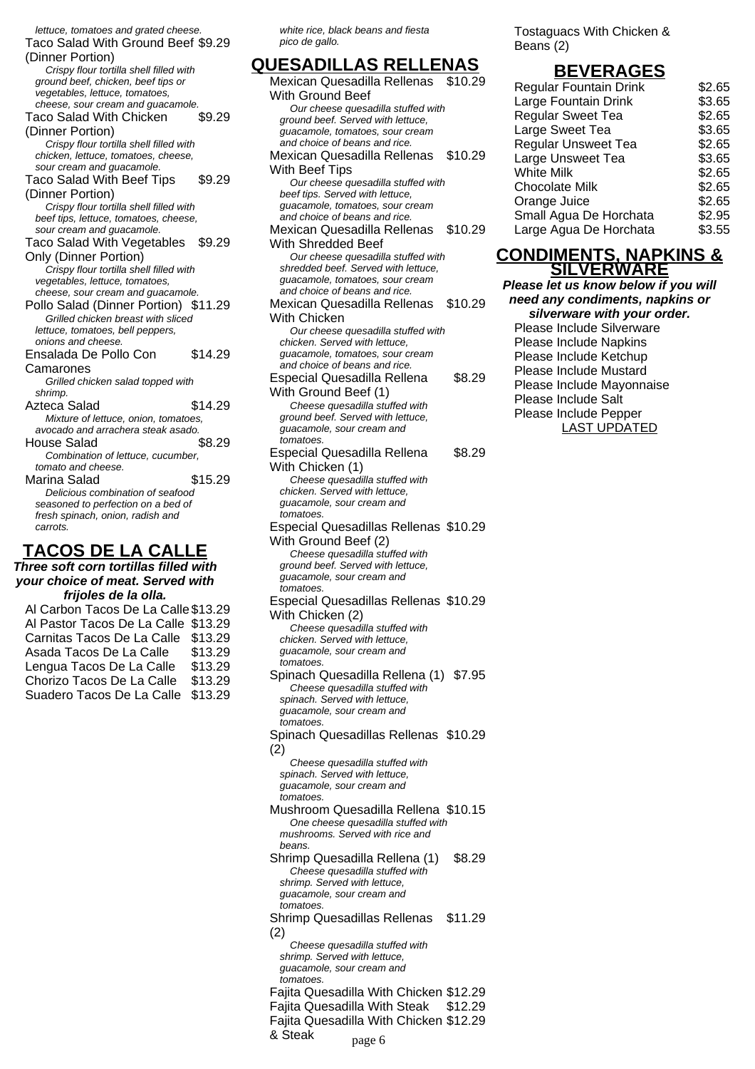lettuce, tomatoes and grated cheese. Taco Salad With Ground Beef \$9.29 (Dinner Portion) Crispy flour tortilla shell filled with ground beef, chicken, beef tips or vegetables, lettuce, tomatoes, cheese, sour cream and guacamole. Taco Salad With Chicken (Dinner Portion) \$9.29 Crispy flour tortilla shell filled with chicken, lettuce, tomatoes, cheese, sour cream and guacamole. Taco Salad With Beef Tips (Dinner Portion) \$9.29 Crispy flour tortilla shell filled with beef tips, lettuce, tomatoes, cheese, sour cream and guacamole. Taco Salad With Vegetables \$9.29 Only (Dinner Portion) Crispy flour tortilla shell filled with vegetables, lettuce, tomatoes, cheese, sour cream and guacamole. Pollo Salad (Dinner Portion) \$11.29 Grilled chicken breast with sliced lettuce, tomatoes, bell peppers, onions and cheese. Ensalada De Pollo Con Camarones \$14.29 Grilled chicken salad topped with shrimp. Azteca Salad \$14.29 Mixture of lettuce, onion, tomatoes, avocado and arrachera steak asado. House Salad \$8.29 Combination of lettuce, cucumber, tomato and cheese. Marina Salad \$15.29 Delicious combination of seafood seasoned to perfection on a bed of fresh spinach, onion, radish and carrots. **TACOS DE LA CALLE**

**Three soft corn tortillas filled with your choice of meat. Served with frijoles de la olla.**

| Al Carbon Tacos De La Calle \$13.29 |         |
|-------------------------------------|---------|
| Al Pastor Tacos De La Calle \$13.29 |         |
| Carnitas Tacos De La Calle \$13.29  |         |
| Asada Tacos De La Calle             | \$13.29 |
| Lengua Tacos De La Calle            | \$13.29 |
| Chorizo Tacos De La Calle           | \$13.29 |
| Suadero Tacos De La Calle           | \$13.29 |

white rice, black beans and fiesta pico de gallo.

#### **QUESADILLAS RELLENAS** Mexican Quesadilla Rellenas \$10.29 With Ground Beef Our cheese quesadilla stuffed with ground beef. Served with lettuce, guacamole, tomatoes, sour cream and choice of beans and rice. Mexican Quesadilla Rellenas With Beef Tips \$10.29 Our cheese quesadilla stuffed with beef tips. Served with lettuce, guacamole, tomatoes, sour cream and choice of beans and rice. Mexican Quesadilla Rellenas With Shredded Beef \$10.29 Our cheese quesadilla stuffed with shredded beef. Served with lettuce, guacamole, tomatoes, sour cream and choice of beans and rice. Mexican Quesadilla Rellenas With Chicken \$10.29 Our cheese quesadilla stuffed with chicken. Served with lettuce, guacamole, tomatoes, sour cream and choice of beans and rice. Especial Quesadilla Rellena With Ground Beef (1) \$8.29 Cheese quesadilla stuffed with ground beef. Served with lettuce, guacamole, sour cream and tomatoes. Especial Quesadilla Rellena With Chicken (1) \$8.29 Cheese quesadilla stuffed with chicken. Served with lettuce, guacamole, sour cream and tomatoes. Especial Quesadillas Rellenas \$10.29 With Ground Beef (2) Cheese quesadilla stuffed with ground beef. Served with lettuce, guacamole, sour cream and tomatoes. Especial Quesadillas Rellenas \$10.29 With Chicken (2) Cheese quesadilla stuffed with chicken. Served with lettuce, guacamole, sour cream and tomatoes. Spinach Quesadilla Rellena (1) \$7.95 Cheese quesadilla stuffed with spinach. Served with lettuce, guacamole, sour cream and tomatoes. Spinach Quesadillas Rellenas \$10.29 (2) Cheese quesadilla stuffed with spinach. Served with lettuce, guacamole, sour cream and tomatoes Mushroom Quesadilla Rellena \$10.15 One cheese quesadilla stuffed with mushrooms. Served with rice and beans. Shrimp Quesadilla Rellena (1) \$8.29 Cheese quesadilla stuffed with shrimp. Served with lettuce, guacamole, sour cream and tomatoes. Shrimp Quesadillas Rellenas (2) \$11.29 Cheese quesadilla stuffed with shrimp. Served with lettuce, guacamole, sour cream and

tomatoes.

& Steak

Fajita Quesadilla With Chicken \$12.29 Fajita Quesadilla With Steak \$12.29 Fajita Quesadilla With Chicken \$12.29

page 6

Tostaguacs With Chicken & Beans (2)

## **BEVERAGES**

| \$2.65 |
|--------|
| \$3.65 |
| \$2.65 |
| \$3.65 |
| \$2.65 |
| \$3.65 |
| \$2.65 |
| \$2.65 |
| \$2.65 |
| \$2.95 |
| \$3.55 |
|        |

#### **CONDIMENTS, NAPKINS & SILVERWARE**

**Please let us know below if you will need any condiments, napkins or silverware with your order.** Please Include Silverware Please Include Napkins Please Include Ketchup Please Include Mustard Please Include Mayonnaise Please Include Salt Please Include Pepper LAST UPDATED